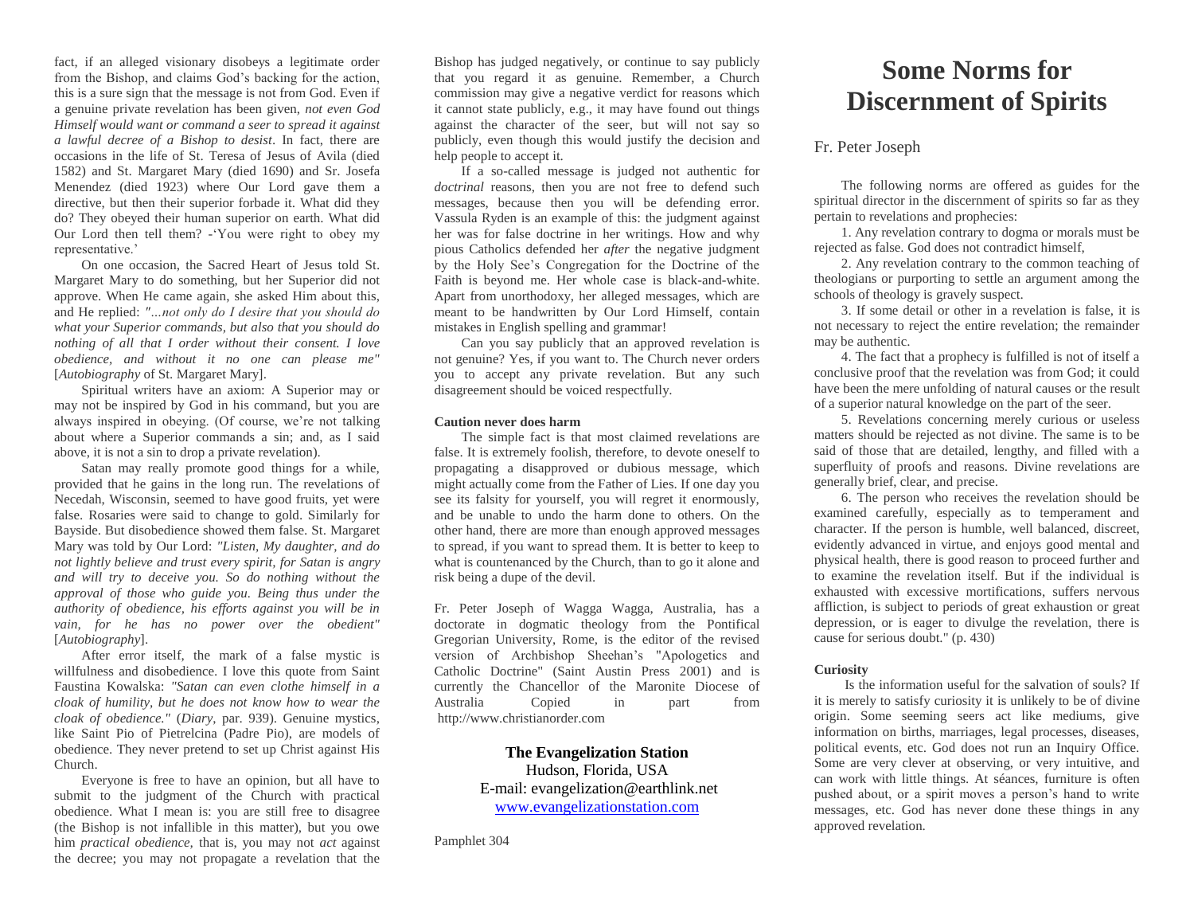fact, if an alleged visionary disobeys a legitimate order from the Bishop, and claims God's backing for the action, this is a sure sign that the message is not from God. Even if a genuine private revelation has been given, *not even God Himself would want or command a seer to spread it against a lawful decree of a Bishop to desist*. In fact, there are occasions in the life of St. Teresa of Jesus of Avila (died 1582) and St. Margaret Mary (died 1690) and Sr. Josefa Menendez (died 1923) where Our Lord gave them a directive, but then their superior forbade it. What did they do? They obeyed their human superior on earth. What did Our Lord then tell them? -'You were right to obey my representative.'

On one occasion, the Sacred Heart of Jesus told St. Margaret Mary to do something, but her Superior did not approve. When He came again, she asked Him about this, and He replied: *"…not only do I desire that you should do what your Superior commands, but also that you should do nothing of all that I order without their consent. I love obedience, and without it no one can please me"*  [*Autobiography* of St. Margaret Mary].

Spiritual writers have an axiom: A Superior may or may not be inspired by God in his command, but you are always inspired in obeying. (Of course, we're not talking about where a Superior commands a sin; and, as I said above, it is not a sin to drop a private revelation).

Satan may really promote good things for a while, provided that he gains in the long run. The revelations of Necedah, Wisconsin, seemed to have good fruits, yet were false. Rosaries were said to change to gold. Similarly for Bayside. But disobedience showed them false. St. Margaret Mary was told by Our Lord: *"Listen, My daughter, and do not lightly believe and trust every spirit, for Satan is angry and will try to deceive you. So do nothing without the approval of those who guide you. Being thus under the authority of obedience, his efforts against you will be in vain, for he has no power over the obedient"* [*Autobiography*].

After error itself, the mark of a false mystic is willfulness and disobedience. I love this quote from Saint Faustina Kowalska: *"Satan can even clothe himself in a cloak of humility, but he does not know how to wear the cloak of obedience."* (*Diary*, par. 939). Genuine mystics, like Saint Pio of Pietrelcina (Padre Pio), are models of obedience. They never pretend to set up Christ against His Church.

Everyone is free to have an opinion, but all have to submit to the judgment of the Church with practical obedience. What I mean is: you are still free to disagree (the Bishop is not infallible in this matter), but you owe him *practical obedience,* that is, you may not *act* against the decree; you may not propagate a revelation that the

Bishop has judged negatively, or continue to say publicly that you regard it as genuine. Remember, a Church commission may give a negative verdict for reasons which it cannot state publicly, e.g., it may have found out things against the character of the seer, but will not say so publicly, even though this would justify the decision and help people to accept it.

If a so-called message is judged not authentic for *doctrinal* reasons, then you are not free to defend such messages, because then you will be defending error. Vassula Ryden is an example of this: the judgment against her was for false doctrine in her writings. How and why pious Catholics defended her *after* the negative judgment by the Holy See's Congregation for the Doctrine of the Faith is beyond me. Her whole case is black-and-white. Apart from unorthodoxy, her alleged messages, which are meant to be handwritten by Our Lord Himself, contain mistakes in English spelling and grammar!

Can you say publicly that an approved revelation is not genuine? Yes, if you want to. The Church never orders you to accept any private revelation. But any such disagreement should be voiced respectfully.

### **Caution never does harm**

The simple fact is that most claimed revelations are false. It is extremely foolish, therefore, to devote oneself to propagating a disapproved or dubious message, which might actually come from the Father of Lies. If one day you see its falsity for yourself, you will regret it enormously, and be unable to undo the harm done to others. On the other hand, there are more than enough approved messages to spread, if you want to spread them. It is better to keep to what is countenanced by the Church, than to go it alone and risk being a dupe of the devil.

Fr. Peter Joseph of Wagga Wagga, Australia, has a doctorate in dogmatic theology from the Pontifical Gregorian University, Rome, is the editor of the revised version of Archbishop Sheehan's "Apologetics and Catholic Doctrine" (Saint Austin Press 2001) and is currently the Chancellor of the Maronite Diocese of Australia Copied in part from http://www.christianorder.com

> **The Evangelization Station** Hudson, Florida, USA E-mail: evangelization@earthlink.net [www.evangelizationstation.com](http://www.pjpiisoe.org/)

Pamphlet 304

# **Some Norms for Discernment of Spirits**

## Fr. Peter Joseph

The following norms are offered as guides for the spiritual director in the discernment of spirits so far as they pertain to revelations and prophecies:

1. Any revelation contrary to dogma or morals must be rejected as false. God does not contradict himself,

2. Any revelation contrary to the common teaching of theologians or purporting to settle an argument among the schools of theology is gravely suspect.

3. If some detail or other in a revelation is false, it is not necessary to reject the entire revelation; the remainder may be authentic.

4. The fact that a prophecy is fulfilled is not of itself a conclusive proof that the revelation was from God; it could have been the mere unfolding of natural causes or the result of a superior natural knowledge on the part of the seer.

5. Revelations concerning merely curious or useless matters should be rejected as not divine. The same is to be said of those that are detailed, lengthy, and filled with a superfluity of proofs and reasons. Divine revelations are generally brief, clear, and precise.

6. The person who receives the revelation should be examined carefully, especially as to temperament and character. If the person is humble, well balanced, discreet, evidently advanced in virtue, and enjoys good mental and physical health, there is good reason to proceed further and to examine the revelation itself. But if the individual is exhausted with excessive mortifications, suffers nervous affliction, is subject to periods of great exhaustion or great depression, or is eager to divulge the revelation, there is cause for serious doubt." (p. 430)

#### **Curiosity**

Is the information useful for the salvation of souls? If it is merely to satisfy curiosity it is unlikely to be of divine origin. Some seeming seers act like mediums, give information on births, marriages, legal processes, diseases, political events, etc. God does not run an Inquiry Office. Some are very clever at observing, or very intuitive, and can work with little things. At séances, furniture is often pushed about, or a spirit moves a person's hand to write messages, etc. God has never done these things in any approved revelation.